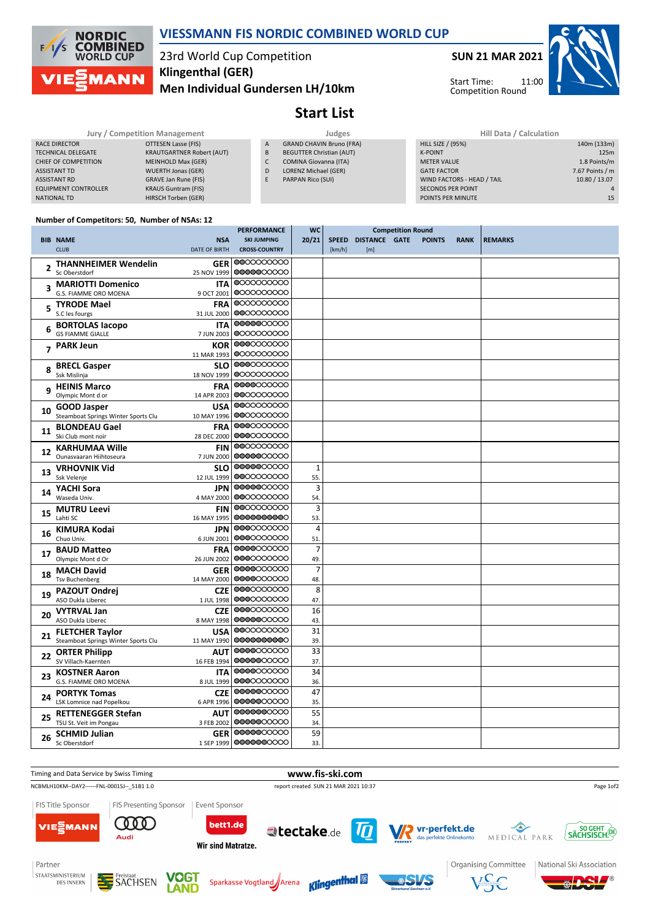

### **VIESSMANN FIS NORDIC COMBINED WORLD CUP**

# 23rd World Cup Competition **Klingenthal (GER)**

**Men Individual Gundersen LH/10km**

# **Start List**

**SUN 21 MAR 2021**

Start Time: Competition Round

11:00



Jury / Competition Management **Management** Judges **Hill Data / Calculation RACE DIRECTOR OTTESEN Lasse (FIS)** TECHNICAL DELEGATE KRAUTGARTNER Robert (AUT) CHIEF OF COMPETITION MEINHOLD Max (GER) ASSISTANT TD WUERTH Jonas (GER) ASSISTANT RD GRAVE Jan Rune (FIS)<br>FOLUPMENT CONTROLLER KRAUS Guntram (FIS) EQUIPMENT CONTROLLER NATIONAL TD HIRSCH Torben (GER) A GRAND CHAVIN Bruno (FRA) B BEGUTTER Christian (AUT) C COMINA Giovanna (ITA) D LORENZ Michael (GER) E PARPAN Rico (SUI) HILL SIZE / (95%) 140m (133m) K-POINT **125m** METER VALUE 1.8 Points/m GATE FACTOR **6.67 Points / m** WIND FACTORS - HEAD / TAIL 10.80 / 13.07 SECONDS PER POINT **4**<br>
POINTS PER MINUTE **15** POINTS PER MINUTE

### **Number of Competitors: 50, Number of NSAs: 12**

|                                              | <b>PERFORMANCE</b>                                                                                                                                                                                                                                                                                                                                                                                                                                                                                                                                                                                                                                                                                                                                            | <b>WC</b>                                                                                                                                                                                                                                                                                                                                                                                                                                                                                                                                                                                                                                                                                                                                                                                                                                                                                                                                                                                                                                                                       | <b>Competition Round</b>                                                                                                                       |        |     |                     |               |                |
|----------------------------------------------|---------------------------------------------------------------------------------------------------------------------------------------------------------------------------------------------------------------------------------------------------------------------------------------------------------------------------------------------------------------------------------------------------------------------------------------------------------------------------------------------------------------------------------------------------------------------------------------------------------------------------------------------------------------------------------------------------------------------------------------------------------------|---------------------------------------------------------------------------------------------------------------------------------------------------------------------------------------------------------------------------------------------------------------------------------------------------------------------------------------------------------------------------------------------------------------------------------------------------------------------------------------------------------------------------------------------------------------------------------------------------------------------------------------------------------------------------------------------------------------------------------------------------------------------------------------------------------------------------------------------------------------------------------------------------------------------------------------------------------------------------------------------------------------------------------------------------------------------------------|------------------------------------------------------------------------------------------------------------------------------------------------|--------|-----|---------------------|---------------|----------------|
| <b>NSA</b>                                   |                                                                                                                                                                                                                                                                                                                                                                                                                                                                                                                                                                                                                                                                                                                                                               |                                                                                                                                                                                                                                                                                                                                                                                                                                                                                                                                                                                                                                                                                                                                                                                                                                                                                                                                                                                                                                                                                 |                                                                                                                                                |        |     |                     |               | <b>REMARKS</b> |
|                                              |                                                                                                                                                                                                                                                                                                                                                                                                                                                                                                                                                                                                                                                                                                                                                               |                                                                                                                                                                                                                                                                                                                                                                                                                                                                                                                                                                                                                                                                                                                                                                                                                                                                                                                                                                                                                                                                                 |                                                                                                                                                |        |     |                     |               |                |
| <b>THANNHEIMER Wendelin</b><br>Sc Oberstdorf | 0000000000                                                                                                                                                                                                                                                                                                                                                                                                                                                                                                                                                                                                                                                                                                                                                    |                                                                                                                                                                                                                                                                                                                                                                                                                                                                                                                                                                                                                                                                                                                                                                                                                                                                                                                                                                                                                                                                                 |                                                                                                                                                |        |     |                     |               |                |
| <b>MARIOTTI Domenico</b>                     | 0000000000                                                                                                                                                                                                                                                                                                                                                                                                                                                                                                                                                                                                                                                                                                                                                    |                                                                                                                                                                                                                                                                                                                                                                                                                                                                                                                                                                                                                                                                                                                                                                                                                                                                                                                                                                                                                                                                                 |                                                                                                                                                |        |     |                     |               |                |
| G.S. FIAMME ORO MOENA                        | 0000000000                                                                                                                                                                                                                                                                                                                                                                                                                                                                                                                                                                                                                                                                                                                                                    |                                                                                                                                                                                                                                                                                                                                                                                                                                                                                                                                                                                                                                                                                                                                                                                                                                                                                                                                                                                                                                                                                 |                                                                                                                                                |        |     |                     |               |                |
| <b>TYRODE Mael</b>                           |                                                                                                                                                                                                                                                                                                                                                                                                                                                                                                                                                                                                                                                                                                                                                               |                                                                                                                                                                                                                                                                                                                                                                                                                                                                                                                                                                                                                                                                                                                                                                                                                                                                                                                                                                                                                                                                                 |                                                                                                                                                |        |     |                     |               |                |
|                                              |                                                                                                                                                                                                                                                                                                                                                                                                                                                                                                                                                                                                                                                                                                                                                               |                                                                                                                                                                                                                                                                                                                                                                                                                                                                                                                                                                                                                                                                                                                                                                                                                                                                                                                                                                                                                                                                                 |                                                                                                                                                |        |     |                     |               |                |
|                                              |                                                                                                                                                                                                                                                                                                                                                                                                                                                                                                                                                                                                                                                                                                                                                               |                                                                                                                                                                                                                                                                                                                                                                                                                                                                                                                                                                                                                                                                                                                                                                                                                                                                                                                                                                                                                                                                                 |                                                                                                                                                |        |     |                     |               |                |
|                                              |                                                                                                                                                                                                                                                                                                                                                                                                                                                                                                                                                                                                                                                                                                                                                               |                                                                                                                                                                                                                                                                                                                                                                                                                                                                                                                                                                                                                                                                                                                                                                                                                                                                                                                                                                                                                                                                                 |                                                                                                                                                |        |     |                     |               |                |
|                                              |                                                                                                                                                                                                                                                                                                                                                                                                                                                                                                                                                                                                                                                                                                                                                               |                                                                                                                                                                                                                                                                                                                                                                                                                                                                                                                                                                                                                                                                                                                                                                                                                                                                                                                                                                                                                                                                                 |                                                                                                                                                |        |     |                     |               |                |
|                                              |                                                                                                                                                                                                                                                                                                                                                                                                                                                                                                                                                                                                                                                                                                                                                               |                                                                                                                                                                                                                                                                                                                                                                                                                                                                                                                                                                                                                                                                                                                                                                                                                                                                                                                                                                                                                                                                                 |                                                                                                                                                |        |     |                     |               |                |
|                                              |                                                                                                                                                                                                                                                                                                                                                                                                                                                                                                                                                                                                                                                                                                                                                               |                                                                                                                                                                                                                                                                                                                                                                                                                                                                                                                                                                                                                                                                                                                                                                                                                                                                                                                                                                                                                                                                                 |                                                                                                                                                |        |     |                     |               |                |
|                                              |                                                                                                                                                                                                                                                                                                                                                                                                                                                                                                                                                                                                                                                                                                                                                               |                                                                                                                                                                                                                                                                                                                                                                                                                                                                                                                                                                                                                                                                                                                                                                                                                                                                                                                                                                                                                                                                                 |                                                                                                                                                |        |     |                     |               |                |
|                                              |                                                                                                                                                                                                                                                                                                                                                                                                                                                                                                                                                                                                                                                                                                                                                               |                                                                                                                                                                                                                                                                                                                                                                                                                                                                                                                                                                                                                                                                                                                                                                                                                                                                                                                                                                                                                                                                                 |                                                                                                                                                |        |     |                     |               |                |
|                                              |                                                                                                                                                                                                                                                                                                                                                                                                                                                                                                                                                                                                                                                                                                                                                               |                                                                                                                                                                                                                                                                                                                                                                                                                                                                                                                                                                                                                                                                                                                                                                                                                                                                                                                                                                                                                                                                                 |                                                                                                                                                |        |     |                     |               |                |
|                                              | 0000000000                                                                                                                                                                                                                                                                                                                                                                                                                                                                                                                                                                                                                                                                                                                                                    |                                                                                                                                                                                                                                                                                                                                                                                                                                                                                                                                                                                                                                                                                                                                                                                                                                                                                                                                                                                                                                                                                 |                                                                                                                                                |        |     |                     |               |                |
|                                              | 0000000000                                                                                                                                                                                                                                                                                                                                                                                                                                                                                                                                                                                                                                                                                                                                                    |                                                                                                                                                                                                                                                                                                                                                                                                                                                                                                                                                                                                                                                                                                                                                                                                                                                                                                                                                                                                                                                                                 |                                                                                                                                                |        |     |                     |               |                |
| Ski Club mont noir                           | 0000000000                                                                                                                                                                                                                                                                                                                                                                                                                                                                                                                                                                                                                                                                                                                                                    |                                                                                                                                                                                                                                                                                                                                                                                                                                                                                                                                                                                                                                                                                                                                                                                                                                                                                                                                                                                                                                                                                 |                                                                                                                                                |        |     |                     |               |                |
| <b>KARHUMAA Wille</b>                        | 0000000000                                                                                                                                                                                                                                                                                                                                                                                                                                                                                                                                                                                                                                                                                                                                                    |                                                                                                                                                                                                                                                                                                                                                                                                                                                                                                                                                                                                                                                                                                                                                                                                                                                                                                                                                                                                                                                                                 |                                                                                                                                                |        |     |                     |               |                |
| Ounasvaaran Hiihtoseura                      | 0000000000                                                                                                                                                                                                                                                                                                                                                                                                                                                                                                                                                                                                                                                                                                                                                    |                                                                                                                                                                                                                                                                                                                                                                                                                                                                                                                                                                                                                                                                                                                                                                                                                                                                                                                                                                                                                                                                                 |                                                                                                                                                |        |     |                     |               |                |
| <b>VRHOVNIK Vid</b>                          | 0000000000                                                                                                                                                                                                                                                                                                                                                                                                                                                                                                                                                                                                                                                                                                                                                    | $\mathbf{1}$                                                                                                                                                                                                                                                                                                                                                                                                                                                                                                                                                                                                                                                                                                                                                                                                                                                                                                                                                                                                                                                                    |                                                                                                                                                |        |     |                     |               |                |
| Ssk Velenje                                  |                                                                                                                                                                                                                                                                                                                                                                                                                                                                                                                                                                                                                                                                                                                                                               | 55.                                                                                                                                                                                                                                                                                                                                                                                                                                                                                                                                                                                                                                                                                                                                                                                                                                                                                                                                                                                                                                                                             |                                                                                                                                                |        |     |                     |               |                |
| YACHI Sora<br>JPN                            | 0000000000                                                                                                                                                                                                                                                                                                                                                                                                                                                                                                                                                                                                                                                                                                                                                    | 3                                                                                                                                                                                                                                                                                                                                                                                                                                                                                                                                                                                                                                                                                                                                                                                                                                                                                                                                                                                                                                                                               |                                                                                                                                                |        |     |                     |               |                |
|                                              |                                                                                                                                                                                                                                                                                                                                                                                                                                                                                                                                                                                                                                                                                                                                                               | 54                                                                                                                                                                                                                                                                                                                                                                                                                                                                                                                                                                                                                                                                                                                                                                                                                                                                                                                                                                                                                                                                              |                                                                                                                                                |        |     |                     |               |                |
| <b>MUTRU Leevi</b><br><b>FIN</b>             |                                                                                                                                                                                                                                                                                                                                                                                                                                                                                                                                                                                                                                                                                                                                                               |                                                                                                                                                                                                                                                                                                                                                                                                                                                                                                                                                                                                                                                                                                                                                                                                                                                                                                                                                                                                                                                                                 |                                                                                                                                                |        |     |                     |               |                |
|                                              |                                                                                                                                                                                                                                                                                                                                                                                                                                                                                                                                                                                                                                                                                                                                                               |                                                                                                                                                                                                                                                                                                                                                                                                                                                                                                                                                                                                                                                                                                                                                                                                                                                                                                                                                                                                                                                                                 |                                                                                                                                                |        |     |                     |               |                |
|                                              |                                                                                                                                                                                                                                                                                                                                                                                                                                                                                                                                                                                                                                                                                                                                                               |                                                                                                                                                                                                                                                                                                                                                                                                                                                                                                                                                                                                                                                                                                                                                                                                                                                                                                                                                                                                                                                                                 |                                                                                                                                                |        |     |                     |               |                |
|                                              |                                                                                                                                                                                                                                                                                                                                                                                                                                                                                                                                                                                                                                                                                                                                                               |                                                                                                                                                                                                                                                                                                                                                                                                                                                                                                                                                                                                                                                                                                                                                                                                                                                                                                                                                                                                                                                                                 |                                                                                                                                                |        |     |                     |               |                |
|                                              |                                                                                                                                                                                                                                                                                                                                                                                                                                                                                                                                                                                                                                                                                                                                                               |                                                                                                                                                                                                                                                                                                                                                                                                                                                                                                                                                                                                                                                                                                                                                                                                                                                                                                                                                                                                                                                                                 |                                                                                                                                                |        |     |                     |               |                |
|                                              |                                                                                                                                                                                                                                                                                                                                                                                                                                                                                                                                                                                                                                                                                                                                                               |                                                                                                                                                                                                                                                                                                                                                                                                                                                                                                                                                                                                                                                                                                                                                                                                                                                                                                                                                                                                                                                                                 |                                                                                                                                                |        |     |                     |               |                |
|                                              |                                                                                                                                                                                                                                                                                                                                                                                                                                                                                                                                                                                                                                                                                                                                                               |                                                                                                                                                                                                                                                                                                                                                                                                                                                                                                                                                                                                                                                                                                                                                                                                                                                                                                                                                                                                                                                                                 |                                                                                                                                                |        |     |                     |               |                |
|                                              |                                                                                                                                                                                                                                                                                                                                                                                                                                                                                                                                                                                                                                                                                                                                                               |                                                                                                                                                                                                                                                                                                                                                                                                                                                                                                                                                                                                                                                                                                                                                                                                                                                                                                                                                                                                                                                                                 |                                                                                                                                                |        |     |                     |               |                |
|                                              | 0000000000                                                                                                                                                                                                                                                                                                                                                                                                                                                                                                                                                                                                                                                                                                                                                    |                                                                                                                                                                                                                                                                                                                                                                                                                                                                                                                                                                                                                                                                                                                                                                                                                                                                                                                                                                                                                                                                                 |                                                                                                                                                |        |     |                     |               |                |
|                                              | 0000000000                                                                                                                                                                                                                                                                                                                                                                                                                                                                                                                                                                                                                                                                                                                                                    |                                                                                                                                                                                                                                                                                                                                                                                                                                                                                                                                                                                                                                                                                                                                                                                                                                                                                                                                                                                                                                                                                 |                                                                                                                                                |        |     |                     |               |                |
| ASO Dukla Liberec                            | 0000000000                                                                                                                                                                                                                                                                                                                                                                                                                                                                                                                                                                                                                                                                                                                                                    | 43.                                                                                                                                                                                                                                                                                                                                                                                                                                                                                                                                                                                                                                                                                                                                                                                                                                                                                                                                                                                                                                                                             |                                                                                                                                                |        |     |                     |               |                |
|                                              | 0000000000                                                                                                                                                                                                                                                                                                                                                                                                                                                                                                                                                                                                                                                                                                                                                    | 31                                                                                                                                                                                                                                                                                                                                                                                                                                                                                                                                                                                                                                                                                                                                                                                                                                                                                                                                                                                                                                                                              |                                                                                                                                                |        |     |                     |               |                |
| Steamboat Springs Winter Sports Clu          | 0000000000                                                                                                                                                                                                                                                                                                                                                                                                                                                                                                                                                                                                                                                                                                                                                    | 39.                                                                                                                                                                                                                                                                                                                                                                                                                                                                                                                                                                                                                                                                                                                                                                                                                                                                                                                                                                                                                                                                             |                                                                                                                                                |        |     |                     |               |                |
| <b>ORTER Philipp</b><br>AUT                  | 0000000000                                                                                                                                                                                                                                                                                                                                                                                                                                                                                                                                                                                                                                                                                                                                                    | 33                                                                                                                                                                                                                                                                                                                                                                                                                                                                                                                                                                                                                                                                                                                                                                                                                                                                                                                                                                                                                                                                              |                                                                                                                                                |        |     |                     |               |                |
| SV Villach-Kaernten                          | 0000000000                                                                                                                                                                                                                                                                                                                                                                                                                                                                                                                                                                                                                                                                                                                                                    | 37.                                                                                                                                                                                                                                                                                                                                                                                                                                                                                                                                                                                                                                                                                                                                                                                                                                                                                                                                                                                                                                                                             |                                                                                                                                                |        |     |                     |               |                |
| <b>KOSTNER Aaron</b>                         |                                                                                                                                                                                                                                                                                                                                                                                                                                                                                                                                                                                                                                                                                                                                                               | 34                                                                                                                                                                                                                                                                                                                                                                                                                                                                                                                                                                                                                                                                                                                                                                                                                                                                                                                                                                                                                                                                              |                                                                                                                                                |        |     |                     |               |                |
|                                              |                                                                                                                                                                                                                                                                                                                                                                                                                                                                                                                                                                                                                                                                                                                                                               | 36.                                                                                                                                                                                                                                                                                                                                                                                                                                                                                                                                                                                                                                                                                                                                                                                                                                                                                                                                                                                                                                                                             |                                                                                                                                                |        |     |                     |               |                |
| <b>PORTYK Tomas</b>                          |                                                                                                                                                                                                                                                                                                                                                                                                                                                                                                                                                                                                                                                                                                                                                               |                                                                                                                                                                                                                                                                                                                                                                                                                                                                                                                                                                                                                                                                                                                                                                                                                                                                                                                                                                                                                                                                                 |                                                                                                                                                |        |     |                     |               |                |
|                                              |                                                                                                                                                                                                                                                                                                                                                                                                                                                                                                                                                                                                                                                                                                                                                               |                                                                                                                                                                                                                                                                                                                                                                                                                                                                                                                                                                                                                                                                                                                                                                                                                                                                                                                                                                                                                                                                                 |                                                                                                                                                |        |     |                     |               |                |
|                                              |                                                                                                                                                                                                                                                                                                                                                                                                                                                                                                                                                                                                                                                                                                                                                               |                                                                                                                                                                                                                                                                                                                                                                                                                                                                                                                                                                                                                                                                                                                                                                                                                                                                                                                                                                                                                                                                                 |                                                                                                                                                |        |     |                     |               |                |
|                                              |                                                                                                                                                                                                                                                                                                                                                                                                                                                                                                                                                                                                                                                                                                                                                               |                                                                                                                                                                                                                                                                                                                                                                                                                                                                                                                                                                                                                                                                                                                                                                                                                                                                                                                                                                                                                                                                                 |                                                                                                                                                |        |     |                     |               |                |
| Sc Oberstdorf                                |                                                                                                                                                                                                                                                                                                                                                                                                                                                                                                                                                                                                                                                                                                                                                               | 33.                                                                                                                                                                                                                                                                                                                                                                                                                                                                                                                                                                                                                                                                                                                                                                                                                                                                                                                                                                                                                                                                             |                                                                                                                                                |        |     |                     |               |                |
|                                              | <b>BIB NAME</b><br><b>CLUB</b><br>S.C les fourgs<br><b>BORTOLAS lacopo</b><br><b>GS FIAMME GIALLE</b><br><b>PARK Jeun</b><br><b>BRECL Gasper</b><br>Ssk Mislinja<br><b>HEINIS Marco</b><br>Olympic Mont d or<br><b>GOOD Jasper</b><br>Steamboat Springs Winter Sports Clu<br><b>BLONDEAU Gael</b><br><b>FRA</b><br>Waseda Univ.<br>Lahti SC<br>16 MAY 1995<br><b>KIMURA Kodai</b><br>Chuo Univ.<br><b>BAUD Matteo</b><br><b>FRA</b><br>Olympic Mont d Or<br>26 JUN 2002<br><b>MACH David</b><br><b>Tsv Buchenberg</b><br>PAZOUT Ondrej<br><b>CZE</b><br>ASO Dukla Liberec<br><b>VYTRVAL Jan</b><br><b>FLETCHER Taylor</b><br>G.S. FIAMME ORO MOENA<br>LSK Lomnice nad Popelkou<br><b>RETTENEGGER Stefan</b><br>TSU St. Veit im Pongau<br><b>SCHMID Julian</b> | <b>SKI JUMPING</b><br>DATE OF BIRTH<br><b>CROSS-COUNTRY</b><br>GER 0000000000<br>25 NOV 1999<br><b>ITA</b><br>9 OCT 2001<br>0000000000<br><b>FRA</b><br>0000000000<br>31 JUL 2000<br>0000000000<br><b>ITA</b><br>0000000000<br>7 JUN 2003<br>0000000000<br>KOR<br>0000000000<br>11 MAR 1993<br>0000000000<br><b>SLO</b><br>0000000000<br>18 NOV 1999<br>0000000000<br><b>FRA</b><br>0000000000<br>14 APR 2003<br>0000000000<br><b>USA</b><br>10 MAY 1996<br>28 DEC 2000<br><b>FIN</b><br>7 JUN 2000<br><b>SLO</b><br>0000000000<br>12 JUL 1999<br>0000000000<br>4 MAY 2000<br>0000000000<br>0000000000<br>0000000000<br><b>JPN</b><br>0000000000<br>6 JUN 2001<br>0000000000<br>0000000000<br>0000000000<br><b>GER</b><br>0000000000<br>14 MAY 2000<br>0000000000<br>1 JUL 1998<br><b>CZE</b><br>8 MAY 1998<br><b>USA</b><br>11 MAY 1990<br>16 FEB 1994<br>0000000000<br><b>ITA</b><br>0000000000<br>8 JUL 1999<br>0000000000<br><b>CZE</b><br>0000000000<br>6 APR 1996<br>0000000000<br>AUT<br>0000000000<br>3 FEB 2002<br>0000000000<br><b>GER</b><br>1 SEP 1999   0000000000 | 20/21<br>3<br>53.<br>$\overline{4}$<br>51.<br>$\overline{7}$<br>49.<br>$\overline{7}$<br>48.<br>8<br>47.<br>16<br>47<br>35.<br>55<br>34.<br>59 | [km/h] | [m] | SPEED DISTANCE GATE | <b>POINTS</b> | <b>RANK</b>    |



DES INNERN

VOCT

Sparkasse Vogtland Arena

**SACHSEN**